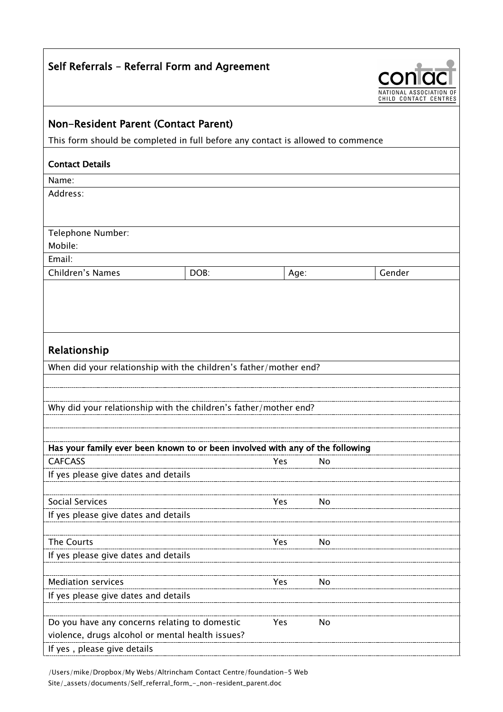| Self Referrals - Referral Form and Agreement                                    |      |      |    |                                            |  |
|---------------------------------------------------------------------------------|------|------|----|--------------------------------------------|--|
|                                                                                 |      |      |    | NATIONAL ASSOCIAT<br>CHILD CONTACT CENTRES |  |
| Non-Resident Parent (Contact Parent)                                            |      |      |    |                                            |  |
| This form should be completed in full before any contact is allowed to commence |      |      |    |                                            |  |
| <b>Contact Details</b>                                                          |      |      |    |                                            |  |
| Name:                                                                           |      |      |    |                                            |  |
| Address:                                                                        |      |      |    |                                            |  |
| Telephone Number:                                                               |      |      |    |                                            |  |
| Mobile:                                                                         |      |      |    |                                            |  |
| Email:                                                                          |      |      |    |                                            |  |
| Children's Names                                                                | DOB: | Age: |    | Gender                                     |  |
|                                                                                 |      |      |    |                                            |  |
| Relationship                                                                    |      |      |    |                                            |  |
| When did your relationship with the children's father/mother end?               |      |      |    |                                            |  |
|                                                                                 |      |      |    |                                            |  |
| Why did your relationship with the children's father/mother end?                |      |      |    |                                            |  |
|                                                                                 |      |      |    |                                            |  |
|                                                                                 |      |      |    |                                            |  |
| Has your family ever been known to or been involved with any of the following   |      |      |    |                                            |  |
| <b>CAFCASS</b>                                                                  |      | Yes  | No |                                            |  |
| If yes please give dates and details                                            |      |      |    |                                            |  |
| <b>Social Services</b>                                                          |      |      |    |                                            |  |
| If yes please give dates and details                                            |      | Yes  | No |                                            |  |
|                                                                                 |      |      |    |                                            |  |
| The Courts                                                                      |      | Yes  | No |                                            |  |
| If yes please give dates and details                                            |      |      |    |                                            |  |
|                                                                                 |      |      |    |                                            |  |
| <b>Mediation services</b>                                                       |      | Yes  | No |                                            |  |
| If yes please give dates and details                                            |      |      |    |                                            |  |
|                                                                                 |      |      |    |                                            |  |
| Do you have any concerns relating to domestic                                   |      | Yes  | No |                                            |  |
| violence, drugs alcohol or mental health issues?                                |      |      |    |                                            |  |
| If yes, please give details                                                     |      |      |    |                                            |  |

/Users/mike/Dropbox/My Webs/Altrincham Contact Centre/foundation-5 Web Site/\_assets/documents/Self\_referral\_form\_-\_non-resident\_parent.doc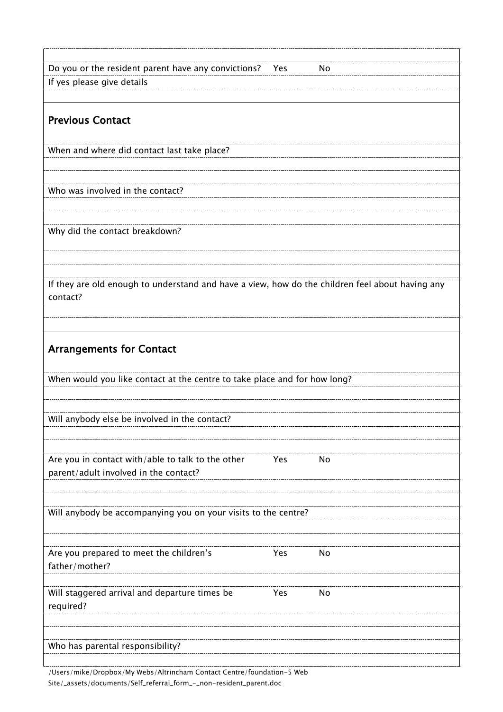| Do you or the resident parent have any convictions?<br>Yes<br>No                                            |  |  |  |  |
|-------------------------------------------------------------------------------------------------------------|--|--|--|--|
| If yes please give details                                                                                  |  |  |  |  |
|                                                                                                             |  |  |  |  |
| <b>Previous Contact</b>                                                                                     |  |  |  |  |
| When and where did contact last take place?                                                                 |  |  |  |  |
|                                                                                                             |  |  |  |  |
| Who was involved in the contact?                                                                            |  |  |  |  |
| Why did the contact breakdown?                                                                              |  |  |  |  |
|                                                                                                             |  |  |  |  |
|                                                                                                             |  |  |  |  |
| If they are old enough to understand and have a view, how do the children feel about having any<br>contact? |  |  |  |  |
|                                                                                                             |  |  |  |  |
|                                                                                                             |  |  |  |  |
| <b>Arrangements for Contact</b>                                                                             |  |  |  |  |
| When would you like contact at the centre to take place and for how long?                                   |  |  |  |  |
|                                                                                                             |  |  |  |  |
|                                                                                                             |  |  |  |  |
| Will anybody else be involved in the contact?                                                               |  |  |  |  |
|                                                                                                             |  |  |  |  |
| Are you in contact with/able to talk to the other<br>Yes<br>No<br>parent/adult involved in the contact?     |  |  |  |  |
|                                                                                                             |  |  |  |  |
| Will anybody be accompanying you on your visits to the centre?                                              |  |  |  |  |
|                                                                                                             |  |  |  |  |
|                                                                                                             |  |  |  |  |
| Are you prepared to meet the children's<br>Yes<br>No<br>father/mother?                                      |  |  |  |  |
|                                                                                                             |  |  |  |  |
| Will staggered arrival and departure times be<br>Yes<br>No<br>required?                                     |  |  |  |  |
|                                                                                                             |  |  |  |  |
| Who has parental responsibility?                                                                            |  |  |  |  |

/Users/mike/Dropbox/My Webs/Altrincham Contact Centre/foundation-5 Web Site/\_assets/documents/Self\_referral\_form\_-\_non-resident\_parent.doc